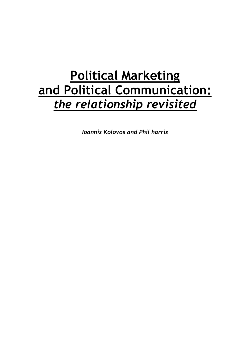# Political Marketing and Political Communication: the relationship revisited

Ioannis Kolovos and Phil harris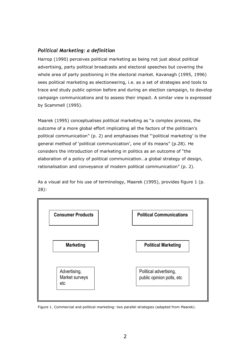## Political Marketing: a definition

Harrop (1990) perceives political marketing as being not just about political advertising, party political broadcasts and electoral speeches but covering the whole area of party positioning in the electoral market. Kavanagh (1995, 1996) sees political marketing as electioneering, i.e. as a set of strategies and tools to trace and study public opinion before and during an election campaign, to develop campaign communications and to assess their impact. A similar view is expressed by Scammell (1995).

Maarek (1995) conceptualises political marketing as "a complex process, the outcome of a more global effort implicating all the factors of the politician's political communication" (p. 2) and emphasises that "'political marketing' is the general method of 'political communication', one of its means" (p.28). He considers the introduction of marketing in politics as an outcome of "the elaboration of a policy of political communication…a global strategy of design, rationalisation and conveyance of modern political communication" (p. 2).

As a visual aid for his use of terminology, Maarek (1995), provides figure 1 (p. 28):



Figure 1. Commercial and political marketing: two parallel strategies (adapted from Maarek).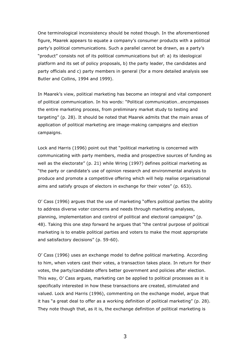One terminological inconsistency should be noted though. In the aforementioned figure, Maarek appears to equate a company's consumer products with a political party's political communications. Such a parallel cannot be drawn, as a party's "product" consists not of its political communications but of: a) its ideological platform and its set of policy proposals, b) the party leader, the candidates and party officials and c) party members in general (for a more detailed analysis see Butler and Collins, 1994 and 1999).

In Maarek's view, political marketing has become an integral and vital component of political communication. In his words: "Political communication…encompasses the entire marketing process, from preliminary market study to testing and targeting" (p. 28). It should be noted that Maarek admits that the main areas of application of political marketing are image-making campaigns and election campaigns.

Lock and Harris (1996) point out that "political marketing is concerned with communicating with party members, media and prospective sources of funding as well as the electorate" (p. 21) while Wring (1997) defines political marketing as "the party or candidate's use of opinion research and environmental analysis to produce and promote a competitive offering which will help realise organisational aims and satisfy groups of electors in exchange for their votes" (p. 653).

O' Cass (1996) argues that the use of marketing "offers political parties the ability to address diverse voter concerns and needs through marketing analyses, planning, implementation and control of political and electoral campaigns" (p. 48). Taking this one step forward he argues that "the central purpose of political marketing is to enable political parties and voters to make the most appropriate and satisfactory decisions" (p. 59-60).

O' Cass (1996) uses an exchange model to define political marketing. According to him, when voters cast their votes, a transaction takes place. In return for their votes, the party/candidate offers better government and policies after election. This way, O' Cass argues, marketing can be applied to political processes as it is specifically interested in how these transactions are created, stimulated and valued. Lock and Harris (1996), commenting on the exchange model, argue that it has "a great deal to offer as a working definition of political marketing" (p. 28). They note though that, as it is, the exchange definition of political marketing is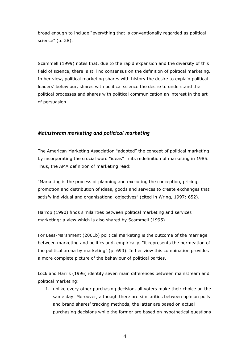broad enough to include "everything that is conventionally regarded as political science" (p. 28).

Scammell (1999) notes that, due to the rapid expansion and the diversity of this field of science, there is still no consensus on the definition of political marketing. In her view, political marketing shares with history the desire to explain political leaders' behaviour, shares with political science the desire to understand the political processes and shares with political communication an interest in the art of persuasion.

## Mainstream marketing and political marketing

The American Marketing Association "adopted" the concept of political marketing by incorporating the crucial word "ideas" in its redefinition of marketing in 1985. Thus, the AMA definition of marketing read:

"Marketing is the process of planning and executing the conception, pricing, promotion and distribution of ideas, goods and services to create exchanges that satisfy individual and organisational objectives" (cited in Wring, 1997: 652).

Harrop (1990) finds similarities between political marketing and services marketing; a view which is also shared by Scammell (1995).

For Lees-Marshment (2001b) political marketing is the outcome of the marriage between marketing and politics and, empirically, "it represents the permeation of the political arena by marketing" (p. 693). In her view this combination provides a more complete picture of the behaviour of political parties.

Lock and Harris (1996) identify seven main differences between mainstream and political marketing:

1. unlike every other purchasing decision, all voters make their choice on the same day. Moreover, although there are similarities between opinion polls and brand shares' tracking methods, the latter are based on actual purchasing decisions while the former are based on hypothetical questions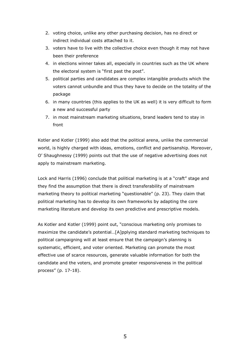- 2. voting choice, unlike any other purchasing decision, has no direct or indirect individual costs attached to it.
- 3. voters have to live with the collective choice even though it may not have been their preference
- 4. in elections winner takes all, especially in countries such as the UK where the electoral system is "first past the post".
- 5. political parties and candidates are complex intangible products which the voters cannot unbundle and thus they have to decide on the totality of the package
- 6. in many countries (this applies to the UK as well) it is very difficult to form a new and successful party
- 7. in most mainstream marketing situations, brand leaders tend to stay in front

Kotler and Kotler (1999) also add that the political arena, unlike the commercial world, is highly charged with ideas, emotions, conflict and partisanship. Moreover, O' Shaughnessy (1999) points out that the use of negative advertising does not apply to mainstream marketing.

Lock and Harris (1996) conclude that political marketing is at a "craft" stage and they find the assumption that there is direct transferability of mainstream marketing theory to political marketing "questionable" (p. 23). They claim that political marketing has to develop its own frameworks by adapting the core marketing literature and develop its own predictive and prescriptive models.

As Kotler and Kotler (1999) point out, "conscious marketing only promises to maximize the candidate's potential…[A]pplying standard marketing techniques to political campaigning will at least ensure that the campaign's planning is systematic, efficient, and voter oriented. Marketing can promote the most effective use of scarce resources, generate valuable information for both the candidate and the voters, and promote greater responsiveness in the political process" (p. 17-18).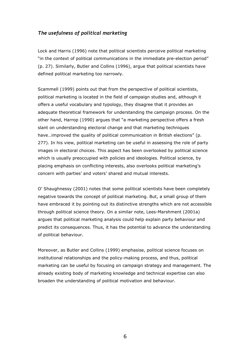## The usefulness of political marketing

Lock and Harris (1996) note that political scientists perceive political marketing "in the context of political communications in the immediate pre-election period" (p. 27). Similarly, Butler and Collins (1996), argue that political scientists have defined political marketing too narrowly.

Scammell (1999) points out that from the perspective of political scientists, political marketing is located in the field of campaign studies and, although it offers a useful vocabulary and typology, they disagree that it provides an adequate theoretical framework for understanding the campaign process. On the other hand, Harrop (1990) argues that "a marketing perspective offers a fresh slant on understanding electoral change and that marketing techniques have...improved the quality of political communication in British elections" (p. 277). In his view, political marketing can be useful in assessing the role of party images in electoral choices. This aspect has been overlooked by political science which is usually preoccupied with policies and ideologies. Political science, by placing emphasis on conflicting interests, also overlooks political marketing's concern with parties' and voters' shared and mutual interests.

O' Shaughnessy (2001) notes that some political scientists have been completely negative towards the concept of political marketing. But, a small group of them have embraced it by pointing out its distinctive strengths which are not accessible through political science theory. On a similar note, Lees-Marshment (2001a) argues that political marketing analysis could help explain party behaviour and predict its consequences. Thus, it has the potential to advance the understanding of political behaviour.

Moreover, as Butler and Collins (1999) emphasise, political science focuses on institutional relationships and the policy-making process, and thus, political marketing can be useful by focusing on campaign strategy and management. The already existing body of marketing knowledge and technical expertise can also broaden the understanding of political motivation and behaviour.

6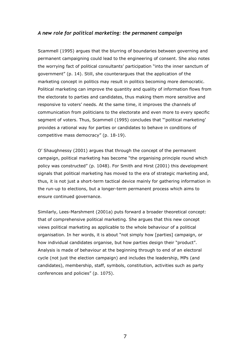### A new role for political marketing: the permanent campaign

Scammell (1995) argues that the blurring of boundaries between governing and permanent campaigning could lead to the engineering of consent. She also notes the worrying fact of political consultants' participation "into the inner sanctum of government" (p. 14). Still, she counterargues that the application of the marketing concept in politics may result in politics becoming more democratic. Political marketing can improve the quantity and quality of information flows from the electorate to parties and candidates, thus making them more sensitive and responsive to voters' needs. At the same time, it improves the channels of communication from politicians to the electorate and even more to every specific segment of voters. Thus, Scammell (1995) concludes that "'political marketing' provides a rational way for parties or candidates to behave in conditions of competitive mass democracy" (p. 18-19).

O' Shaughnessy (2001) argues that through the concept of the permanent campaign, political marketing has become "the organising principle round which policy was constructed" (p. 1048). For Smith and Hirst (2001) this development signals that political marketing has moved to the era of strategic marketing and, thus, it is not just a short-term tactical device mainly for gathering information in the run-up to elections, but a longer-term permanent process which aims to ensure continued governance.

Similarly, Lees-Marshment (2001a) puts forward a broader theoretical concept: that of comprehensive political marketing. She argues that this new concept views political marketing as applicable to the whole behaviour of a political organisation. In her words, it is about "not simply how [parties] campaign, or how individual candidates organise, but how parties design their "product". Analysis is made of behaviour at the beginning through to end of an electoral cycle (not just the election campaign) and includes the leadership, MPs (and candidates), membership, staff, symbols, constitution, activities such as party conferences and policies" (p. 1075).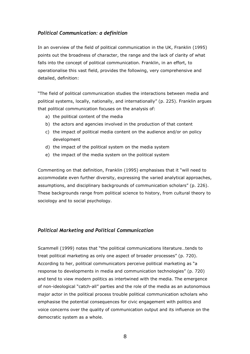## Political Communication: a definition

In an overview of the field of political communication in the UK, Franklin (1995) points out the broadness of character, the range and the lack of clarity of what falls into the concept of political communication. Franklin, in an effort, to operationalise this vast field, provides the following, very comprehensive and detailed, definition:

"The field of political communication studies the interactions between media and political systems, locally, nationally, and internationally" (p. 225). Franklin argues that political communication focuses on the analysis of:

- a) the political content of the media
- b) the actors and agencies involved in the production of that content
- c) the impact of political media content on the audience and/or on policy development
- d) the impact of the political system on the media system
- e) the impact of the media system on the political system

Commenting on that definition, Franklin (1995) emphasises that it "will need to accommodate even further diversity, expressing the varied analytical approaches, assumptions, and disciplinary backgrounds of communication scholars" (p. 226). These backgrounds range from political science to history, from cultural theory to sociology and to social psychology.

#### Political Marketing and Political Communication

Scammell (1999) notes that "the political communications literature…tends to treat political marketing as only one aspect of broader processes" (p. 720). According to her, political communicators perceive political marketing as "a response to developments in media and communication technologies" (p. 720) and tend to view modern politics as intertwined with the media. The emergence of non-ideological "catch-all" parties and the role of the media as an autonomous major actor in the political process trouble political communication scholars who emphasise the potential consequences for civic engagement with politics and voice concerns over the quality of communication output and its influence on the democratic system as a whole.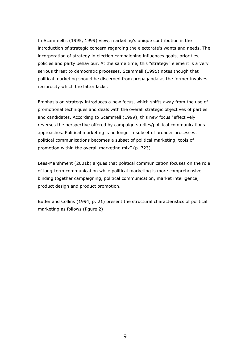In Scammell's (1995, 1999) view, marketing's unique contribution is the introduction of strategic concern regarding the electorate's wants and needs. The incorporation of strategy in election campaigning influences goals, priorities, policies and party behaviour. At the same time, this "strategy" element is a very serious threat to democratic processes. Scammell (1995) notes though that political marketing should be discerned from propaganda as the former involves reciprocity which the latter lacks.

Emphasis on strategy introduces a new focus, which shifts away from the use of promotional techniques and deals with the overall strategic objectives of parties and candidates. According to Scammell (1999), this new focus "effectively reverses the perspective offered by campaign studies/political communications approaches. Political marketing is no longer a subset of broader processes: political communications becomes a subset of political marketing, tools of promotion within the overall marketing mix" (p. 723).

Lees-Marshment (2001b) argues that political communication focuses on the role of long-term communication while political marketing is more comprehensive binding together campaigning, political communication, market intelligence, product design and product promotion.

Butler and Collins (1994, p. 21) present the structural characteristics of political marketing as follows (figure 2):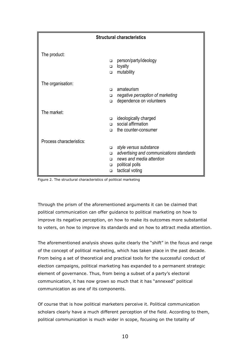| <b>Structural characteristics</b> |                                          |
|-----------------------------------|------------------------------------------|
|                                   |                                          |
| The product:                      |                                          |
| $\Box$                            | person/party/ideology                    |
| $\Box$                            | loyalty                                  |
| $\Box$                            | mutability                               |
| The organisation:                 |                                          |
| $\Box$                            | amateurism                               |
| $\Box$                            | negative perception of marketing         |
| $\Box$                            | dependence on volunteers                 |
| The market:                       |                                          |
| $\Box$                            | ideologically charged                    |
| $\Box$                            | social affirmation                       |
| $\Box$                            | the counter-consumer                     |
| Process characteristics:          |                                          |
| $\Box$                            | style versus substance                   |
| $\Box$                            | advertising and communications standards |
| $\Box$                            | news and media attention                 |
| $\Box$                            | political polls                          |
| $\Box$                            | tactical voting                          |



Through the prism of the aforementioned arguments it can be claimed that political communication can offer guidance to political marketing on how to improve its negative perception, on how to make its outcomes more substantial to voters, on how to improve its standards and on how to attract media attention.

The aforementioned analysis shows quite clearly the "shift" in the focus and range of the concept of political marketing, which has taken place in the past decade. From being a set of theoretical and practical tools for the successful conduct of election campaigns, political marketing has expanded to a permanent strategic element of governance. Thus, from being a subset of a party's electoral communication, it has now grown so much that it has "annexed" political communication as one of its components.

Of course that is how political marketers perceive it. Political communication scholars clearly have a much different perception of the field. According to them, political communication is much wider in scope, focusing on the totality of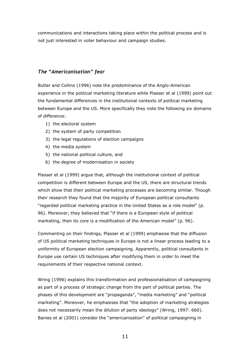communications and interactions taking place within the political process and is not just interested in voter behaviour and campaign studies.

## The "Americanisation" fear

Butler and Collins (1996) note the predominance of the Anglo-American experience in the political marketing literature while Plasser et al (1999) point out the fundamental differences in the institutional contexts of political marketing between Europe and the US. More specifically they note the following six domains of difference:

- 1) the electoral system
- 2) the system of party competition
- 3) the legal regulations of election campaigns
- 4) the media system
- 5) the national political culture, and
- 6) the degree of modernisation in society

Plasser et al (1999) argue that, although the institutional context of political competition is different between Europe and the US, there are structural trends which show that their political marketing processes are becoming similar. Though their research they found that the majority of European political consultants "regarded political marketing practice in the United States as a role model" (p. 96). Moreover, they believed that "if there is a European style of political marketing, then its core is a modification of the American model" (p. 96).

Commenting on their findings, Plasser et al (1999) emphasise that the diffusion of US political marketing techniques in Europe is not a linear process leading to a uniformity of European election campaigning. Apparently, political consultants in Europe use certain US techniques after modifying them in order to meet the requirements of their respective national context.

Wring (1996) explains this transformation and professionalisation of campaigning as part of a process of strategic change from the part of political parties. The phases of this development are "propaganda", "media marketing" and "political marketing". Moreover, he emphasises that "the adoption of marketing strategies does not necessarily mean the dilution of party ideology" (Wring, 1997: 660). Baines et al (2001) consider the "americanisation" of political campaigning in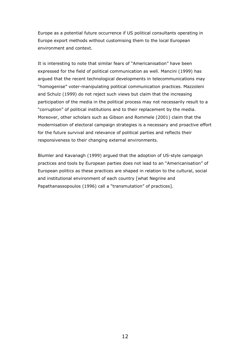Europe as a potential future occurrence if US political consultants operating in Europe export methods without customising them to the local European environment and context.

It is interesting to note that similar fears of "Americanisation" have been expressed for the field of political communication as well. Mancini (1999) has argued that the recent technological developments in telecommunications may "homogenise" voter-manipulating political communication practices. Mazzoleni and Schulz (1999) do not reject such views but claim that the increasing participation of the media in the political process may not necessarily result to a "corruption" of political institutions and to their replacement by the media. Moreover, other scholars such as Gibson and Rommele (2001) claim that the modernisation of electoral campaign strategies is a necessary and proactive effort for the future survival and relevance of political parties and reflects their responsiveness to their changing external environments.

Blumler and Kavanagh (1999) argued that the adoption of US-style campaign practices and tools by European parties does not lead to an "Americanisation" of European politics as these practices are shaped in relation to the cultural, social and institutional environment of each country [what Negrine and Papathanassopoulos (1996) call a "transmutation" of practices].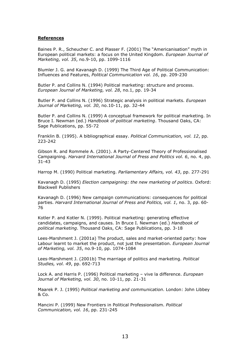#### References

Baines P. R., Scheucher C. and Plasser F. (2001) The "Americanisation" myth in European political markets: a focus on the United Kingdom. European Journal of Marketing, vol. 35, no.9-10, pp. 1099-1116

Blumler J. G. and Kavanagh D. (1999) The Third Age of Political Communication: Influences and Features, Political Communication vol. 16, pp. 209-230

Butler P. and Collins N. (1994) Political marketing: structure and process. European Journal of Marketing, vol. 28, no.1, pp. 19-34

Butler P. and Collins N. (1996) Strategic analysis in political markets. *European* Journal of Marketing, vol. 30, no.10-11, pp. 32-44

Butler P. and Collins N. (1999) A conceptual framework for political marketing. In Bruce I. Newman (ed.) Handbook of political marketing. Thousand Oaks, CA: Sage Publications, pp. 55-72

Franklin B. (1995). A bibliographical essay. Political Communication, vol. 12, pp. 223-242

Gibson R. and Rommele A. (2001). A Party-Centered Theory of Professionalised Campaigning. Harvard International Journal of Press and Politics vol. 6, no. 4, pp. 31-43

Harrop M. (1990) Political marketing. Parliamentary Affairs, vol. 43, pp. 277-291

Kavanagh D. (1995) Election campaigning: the new marketing of politics. Oxford: Blackwell Publishers

Kavanagh D. (1996) New campaign communications: consequences for political parties. Harvard International Journal of Press and Politics, vol. 1, no. 3, pp. 60- 76

Kotler P. and Kotler N. (1999). Political marketing: generating effective candidates, campaigns, and causes. In Bruce I. Newman (ed.) Handbook of political marketing. Thousand Oaks, CA: Sage Publications, pp. 3-18

Lees-Marshment J. (2001a) The product, sales and market-oriented party: how Labour learnt to market the product, not just the presentation. *European Journal* of Marketing, vol. 35, no.9-10, pp. 1074-1084

Lees-Marshment J. (2001b) The marriage of politics and marketing. Political Studies, vol. 49, pp. 692-713

Lock A. and Harris P. (1996) Political marketing - vive la difference. European Journal of Marketing, vol. 30, no. 10-11, pp. 21-31

Maarek P. J. (1995) Political marketing and communication. London: John Libbey & Co.

Mancini P. (1999) New Frontiers in Political Professionalism. Political Communication, vol. 16, pp. 231-245